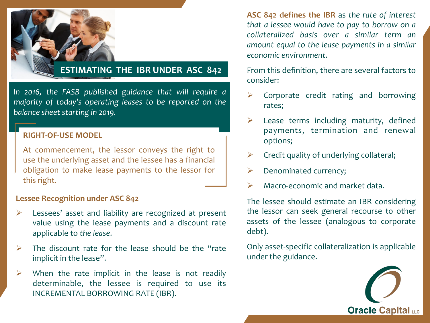

### **ESTIMATING THE IBR UNDER ASC 842**

In 2016, the FASB published guidance that will require a *majority* of today's operating leases to be reported on the *balance sheet starting in 2019.* 

#### **RIGHT-OF-USE MODEL**

At commencement, the lessor conveys the right to use the underlying asset and the lessee has a financial obligation to make lease payments to the lessor for this right.

#### **Lessee Recognition under ASC 842**

- $\triangleright$  Lessees' asset and liability are recognized at present value using the lease payments and a discount rate applicable to the lease.
- $\triangleright$  The discount rate for the lease should be the "rate" implicit in the lease".
- $\triangleright$  When the rate implicit in the lease is not readily determinable, the lessee is required to use its INCREMENTAL BORROWING RATE (IBR).

**ASC 842 defines the IBR** as the rate of interest *that a lessee would have to pay to borrow on a collateralized basis over a similar term an amount equal to the lease payments in a similar economic environment*. 

From this definition, there are several factors to consider: 

- Corporate credit rating and borrowing rates;
- $\triangleright$  Lease terms including maturity, defined payments, termination and renewal options;
- $\triangleright$  Credit quality of underlying collateral;
- Denominated currency;
- $\triangleright$  Macro-economic and market data.

The lessee should estimate an IBR considering the lessor can seek general recourse to other assets of the lessee (analogous to corporate debt).

Only asset-specific collateralization is applicable under the guidance.